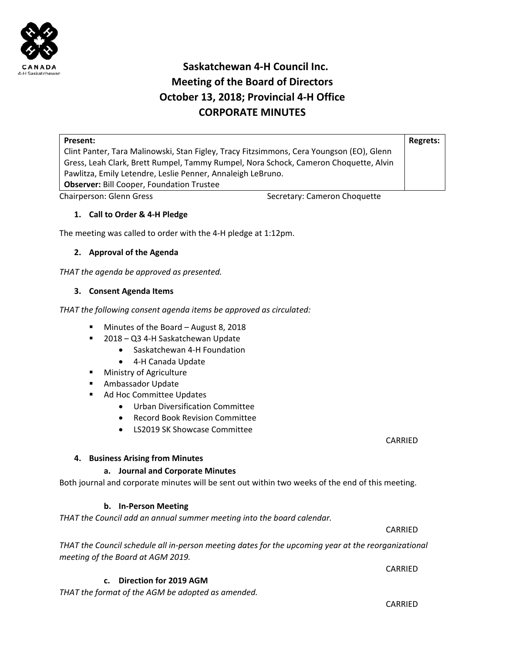

# **Saskatchewan 4‐H Council Inc. Meeting of the Board of Directors October 13, 2018; Provincial 4‐H Office CORPORATE MINUTES**

| Present:                                                                                 | Regrets: |
|------------------------------------------------------------------------------------------|----------|
| Clint Panter, Tara Malinowski, Stan Figley, Tracy Fitzsimmons, Cera Youngson (EO), Glenn |          |
| Gress, Leah Clark, Brett Rumpel, Tammy Rumpel, Nora Schock, Cameron Choquette, Alvin     |          |
| Pawlitza, Emily Letendre, Leslie Penner, Annaleigh LeBruno.                              |          |
| <b>Observer: Bill Cooper, Foundation Trustee</b>                                         |          |

Chairperson: Glenn Gress Secretary: Cameron Choquette

# **1. Call to Order & 4‐H Pledge**

The meeting was called to order with the 4‐H pledge at 1:12pm.

## **2. Approval of the Agenda**

THAT the agenda be approved as presented.

## **3. Consent Agenda Items**

*THAT the following consent agenda items be approved as circulated:* 

- Minutes of the Board August 8, 2018
- 2018 Q3 4-H Saskatchewan Update
	- Saskatchewan 4-H Foundation
	- 4-H Canada Update
- **Ministry of Agriculture**
- **Ambassador Update**
- Ad Hoc Committee Updates
	- Urban Diversification Committee
	- Record Book Revision Committee
	- IS2019 SK Showcase Committee

## **4. Business Arising from Minutes**

## **a. Journal and Corporate Minutes**

Both journal and corporate minutes will be sent out within two weeks of the end of this meeting.

## **b. In‐Person Meeting**

# *THAT the Council add an annual summer meeting into the board calendar.*

*THAT the Council schedule all in‐person meeting dates for the upcoming year at the reorganizational meeting of the Board at AGM 2019.* 

 $\overline{\text{CARRED}}$ 

 $\overline{\text{CARRED}}$ **c. Direction for 2019 AGM** 

*THAT the format of the AGM be adopted as amended.* 

 CARRIED

CARRIED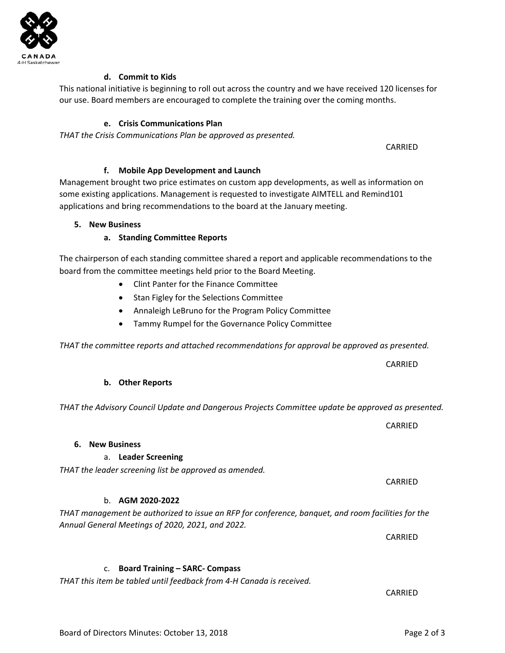**d. Commit to Kids** 

This national initiative is beginning to roll out across the country and we have received 120 licenses for our use. Board members are encouraged to complete the training over the coming months.

## **e. Crisis Communications Plan**

*THAT the Crisis Communications Plan be approved as presented.* 

**f. Mobile App Development and Launch**  Management brought two price estimates on custom app developments, as well as information on some existing applications. Management is requested to investigate AIMTELL and Remind101 applications and bring recommendations to the board at the January meeting.

 $\overline{\text{CARRED}}$ 

#### **5. New Business**

## **a. Standing Committee Reports**

The chairperson of each standing committee shared a report and applicable recommendations to the board from the committee meetings held prior to the Board Meeting.

- Clint Panter for the Finance Committee
- Stan Figley for the Selections Committee
- Annaleigh LeBruno for the Program Policy Committee
- Tammy Rumpel for the Governance Policy Committee

*THAT the committee reports and attached recommendations for approval be approved as presented.* 

#### **b. Other Reports**

*THAT the Advisory Council Update and Dangerous Projects Committee update be approved as presented.* 

 CARRIED

#### **6. New Business**

## a. **Leader Screening**

b. **AGM 2020‐2022**

*THAT the leader screening list be approved as amended.* 

*THAT management be authorized to issue an RFP for conference, banquet, and room facilities for the Annual General Meetings of 2020, 2021, and 2022.* 

 $\overline{\text{CARRED}}$ 

# c. **Board Training – SARC‐ Compass**

*THAT this item be tabled until feedback from 4‐H Canada is received.* 

 CARRIED

 CARRIED

 $\overline{\text{CARRED}}$